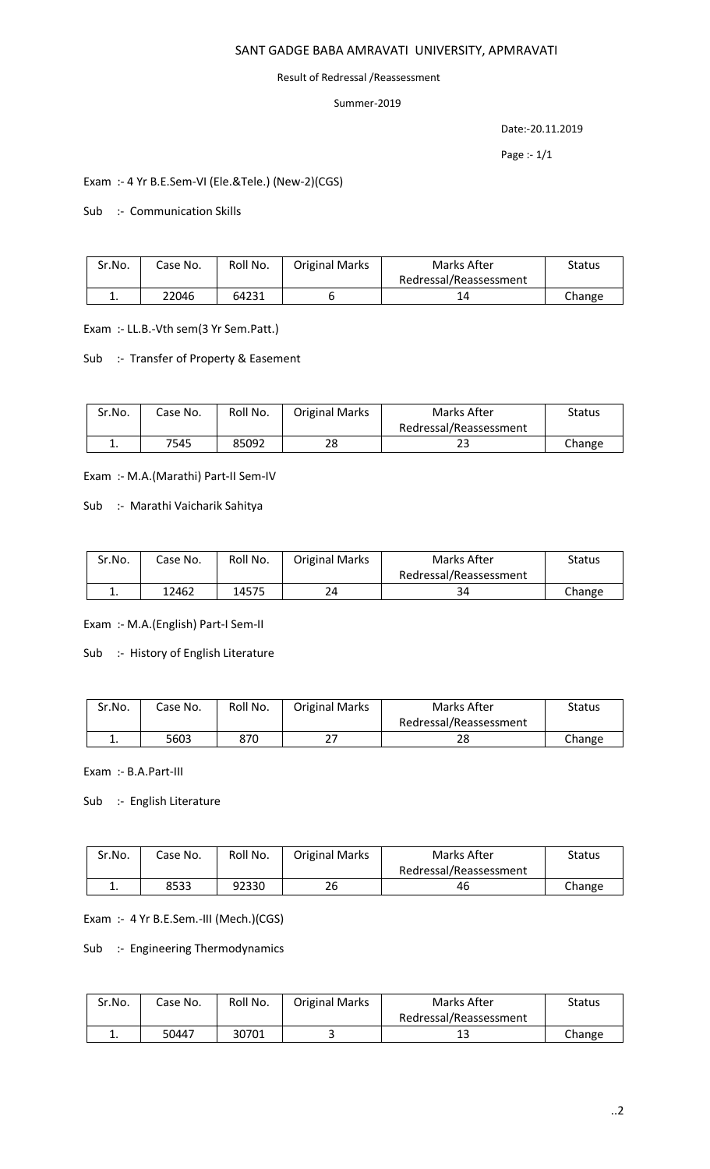## SANT GADGE BABA AMRAVATI UNIVERSITY, APMRAVATI

#### Result of Redressal /Reassessment

### Summer-2019

Date:-20.11.2019

Page :- 1/1

## Exam :- 4 Yr B.E.Sem-VI (Ele.&Tele.) (New-2)(CGS)

Sub :- Communication Skills

| Sr.No. | Case No. | Roll No. | <b>Original Marks</b> | Marks After            | Status |
|--------|----------|----------|-----------------------|------------------------|--------|
|        |          |          |                       | Redressal/Reassessment |        |
| . .    | 22046    | 64231    |                       |                        | Change |

Exam :- LL.B.-Vth sem(3 Yr Sem.Patt.)

#### Sub :- Transfer of Property & Easement

| Sr.No. | Case No. | Roll No. | <b>Original Marks</b> | Marks After            | Status |
|--------|----------|----------|-----------------------|------------------------|--------|
|        |          |          |                       | Redressal/Reassessment |        |
| ٠.     | 7545     | 85092    | 28                    | 43                     | Change |

Exam :- M.A.(Marathi) Part-II Sem-IV

Sub :- Marathi Vaicharik Sahitya

| Sr.No. | Case No. | Roll No. | <b>Original Marks</b> | Marks After            | Status |
|--------|----------|----------|-----------------------|------------------------|--------|
|        |          |          |                       | Redressal/Reassessment |        |
|        | 12462    | 14575    | 24                    | 34                     | Change |

Exam :- M.A.(English) Part-I Sem-II

Sub :- History of English Literature

| Sr.No. | Case No. | Roll No. | <b>Original Marks</b> | Marks After            | Status |
|--------|----------|----------|-----------------------|------------------------|--------|
|        |          |          |                       | Redressal/Reassessment |        |
| . ـ    | 5603     | 870      | -ר                    | າດ<br>20               | Change |

Exam :- B.A.Part-III

## Sub :- English Literature

| Sr.No. | Case No. | Roll No. | <b>Original Marks</b> | Marks After            | Status |
|--------|----------|----------|-----------------------|------------------------|--------|
|        |          |          |                       | Redressal/Reassessment |        |
| ٠.     | 8533     | 92330    | 26                    | 46                     | Change |

Exam :- 4 Yr B.E.Sem.-III (Mech.)(CGS)

Sub :- Engineering Thermodynamics

| Sr.No. | Case No. | Roll No. | <b>Original Marks</b> | Marks After            | Status |
|--------|----------|----------|-----------------------|------------------------|--------|
|        |          |          |                       | Redressal/Reassessment |        |
| . .    | 50447    | 30701    |                       | ∸∸                     | Change |